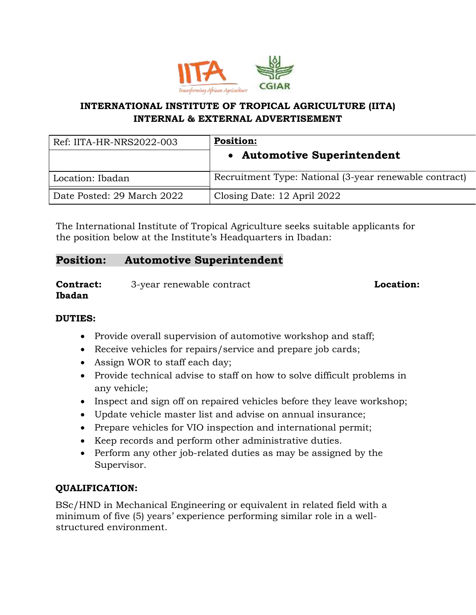

## **INTERNATIONAL INSTITUTE OF TROPICAL AGRICULTURE (IITA) INTERNAL & EXTERNAL ADVERTISEMENT**

| Ref: IITA-HR-NRS2022-003   | <b>Position:</b>                                       |
|----------------------------|--------------------------------------------------------|
|                            | • Automotive Superintendent                            |
| Location: Ibadan           | Recruitment Type: National (3-year renewable contract) |
| Date Posted: 29 March 2022 | Closing Date: 12 April 2022                            |

The International Institute of Tropical Agriculture seeks suitable applicants for the position below at the Institute's Headquarters in Ibadan:

# **Position: Automotive Superintendent**

**Contract:** 3-year renewable contract **Location: Ibadan**

### **DUTIES:**

- Provide overall supervision of automotive workshop and staff;
- Receive vehicles for repairs/service and prepare job cards;
- Assign WOR to staff each day;
- Provide technical advise to staff on how to solve difficult problems in any vehicle;
- Inspect and sign off on repaired vehicles before they leave workshop;
- Update vehicle master list and advise on annual insurance;
- Prepare vehicles for VIO inspection and international permit;
- Keep records and perform other administrative duties.
- Perform any other job-related duties as may be assigned by the Supervisor.

### **QUALIFICATION:**

BSc/HND in Mechanical Engineering or equivalent in related field with a minimum of five (5) years' experience performing similar role in a wellstructured environment.